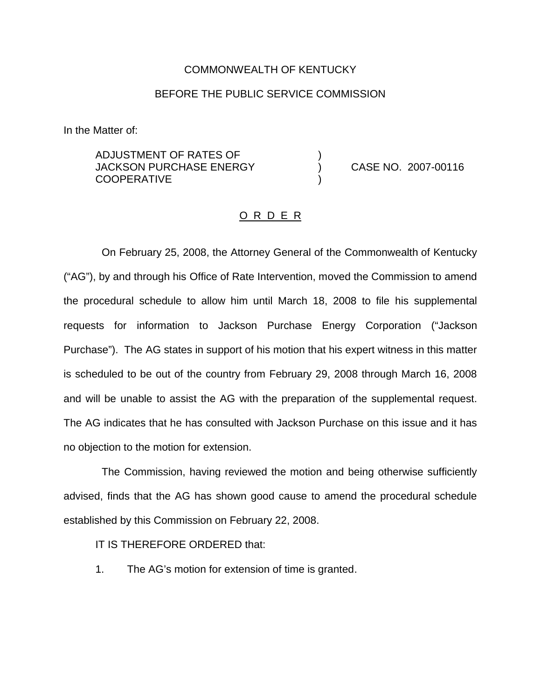#### COMMONWEALTH OF KENTUCKY

### BEFORE THE PUBLIC SERVICE COMMISSION

In the Matter of:

ADJUSTMENT OF RATES OF ) JACKSON PURCHASE ENERGY ) CASE NO. 2007-00116 **COOPERATIVE** 

#### O R D E R

On February 25, 2008, the Attorney General of the Commonwealth of Kentucky ("AG"), by and through his Office of Rate Intervention, moved the Commission to amend the procedural schedule to allow him until March 18, 2008 to file his supplemental requests for information to Jackson Purchase Energy Corporation ("Jackson Purchase"). The AG states in support of his motion that his expert witness in this matter is scheduled to be out of the country from February 29, 2008 through March 16, 2008 and will be unable to assist the AG with the preparation of the supplemental request. The AG indicates that he has consulted with Jackson Purchase on this issue and it has no objection to the motion for extension.

The Commission, having reviewed the motion and being otherwise sufficiently advised, finds that the AG has shown good cause to amend the procedural schedule established by this Commission on February 22, 2008.

IT IS THEREFORE ORDERED that:

1. The AG's motion for extension of time is granted.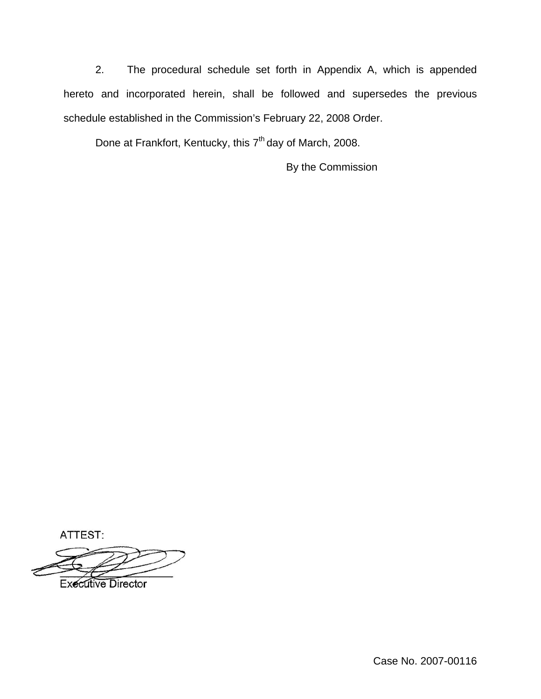2. The procedural schedule set forth in Appendix A, which is appended hereto and incorporated herein, shall be followed and supersedes the previous schedule established in the Commission's February 22, 2008 Order.

Done at Frankfort, Kentucky, this 7<sup>th</sup> day of March, 2008.

By the Commission

ATTEST:

**Executive Director** 

Case No. 2007-00116